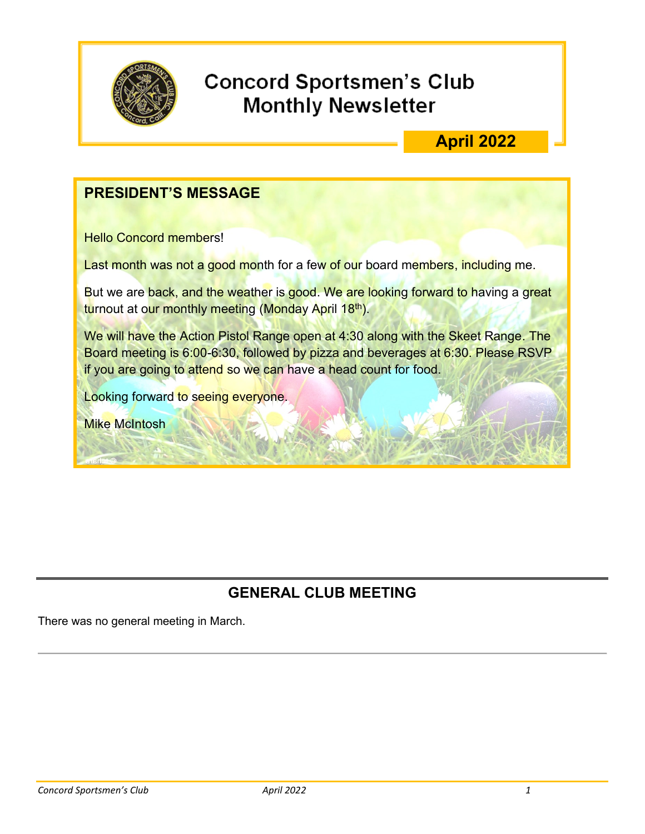

## **Concord Sportsmen's Club Monthly Newsletter**

## **April 2022**

#### **PRESIDENT'S MESSAGE**

Hello Concord members!

Last month was not a good month for a few of our board members, including me.

But we are back, and the weather is good. We are looking forward to having a great <mark>tu</mark>rnout at o<mark>ur monthly meeting (Monday Apr</mark>il 18<sup>th</sup>).

We will have the Action Pistol Range open at 4:30 along with the Skeet Range. The Board meeting is 6:00-6:30, followed by pizza and beverages at 6:30. Please RSVP if you are going to attend so we can have a head count for food.

Looking forward to seeing everyone.

Mike McIntosh

#### **GENERAL CLUB MEETING**

There was no general meeting in March.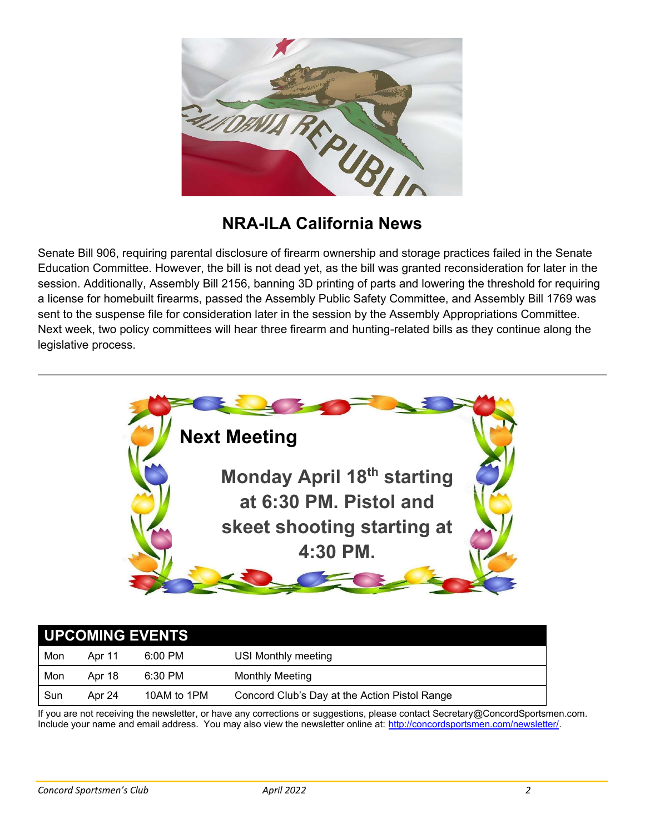

## **NRA-ILA California News**

Senate Bill 906, requiring parental disclosure of firearm ownership and storage practices failed in the Senate Education Committee. However, the bill is not dead yet, as the bill was granted reconsideration for later in the session. Additionally, Assembly Bill 2156, banning 3D printing of parts and lowering the threshold for requiring a license for homebuilt firearms, passed the Assembly Public Safety Committee, and Assembly Bill 1769 was sent to the suspense file for consideration later in the session by the Assembly Appropriations Committee. Next week, two policy committees will hear three firearm and hunting-related bills as they continue along the legislative process.



| UPCOMING EVENTS |        |             |                                               |
|-----------------|--------|-------------|-----------------------------------------------|
| Mon             | Apr 11 | $6:00$ PM   | USI Monthly meeting                           |
| Mon             | Apr 18 | 6:30 PM     | <b>Monthly Meeting</b>                        |
| Sun             | Apr 24 | 10AM to 1PM | Concord Club's Day at the Action Pistol Range |

If you are not receiving the newsletter, or have any corrections or suggestions, please contact Secretary@ConcordSportsmen.com. Include your name and email address. You may also view the newsletter online at: [http://concordsportsmen.com/newsletter/.](http://concordsportsmen.com/newsletter/)